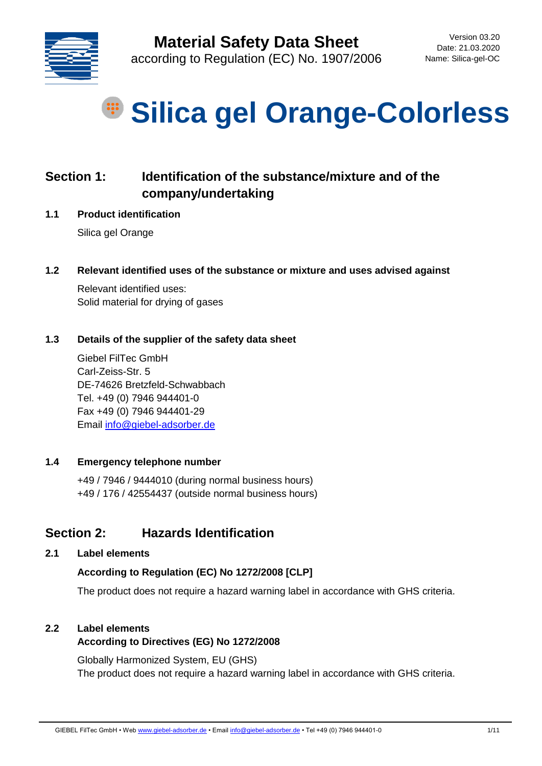

# **Silica gel Orange-Colorless**

## **Section 1: Identification of the substance/mixture and of the company/undertaking**

**1.1 Product identification**

Silica gel Orange

**1.2 Relevant identified uses of the substance or mixture and uses advised against** 

Relevant identified uses: Solid material for drying of gases

#### **1.3 Details of the supplier of the safety data sheet**

Giebel FilTec GmbH Carl-Zeiss-Str. 5 DE-74626 Bretzfeld-Schwabbach Tel. +49 (0) 7946 944401-0 Fax +49 (0) 7946 944401-29 Email [info@giebel-adsorber.de](mailto:info@giebel-adsorber.de)

#### **1.4 Emergency telephone number**

+49 / 7946 / 9444010 (during normal business hours) +49 / 176 / 42554437 (outside normal business hours)

## **Section 2: Hazards Identification**

**2.1 Label elements**

#### **According to Regulation (EC) No 1272/2008 [CLP]**

The product does not require a hazard warning label in accordance with GHS criteria.

## **2.2 Label elements According to Directives (EG) No 1272/2008**

Globally Harmonized System, EU (GHS) The product does not require a hazard warning label in accordance with GHS criteria.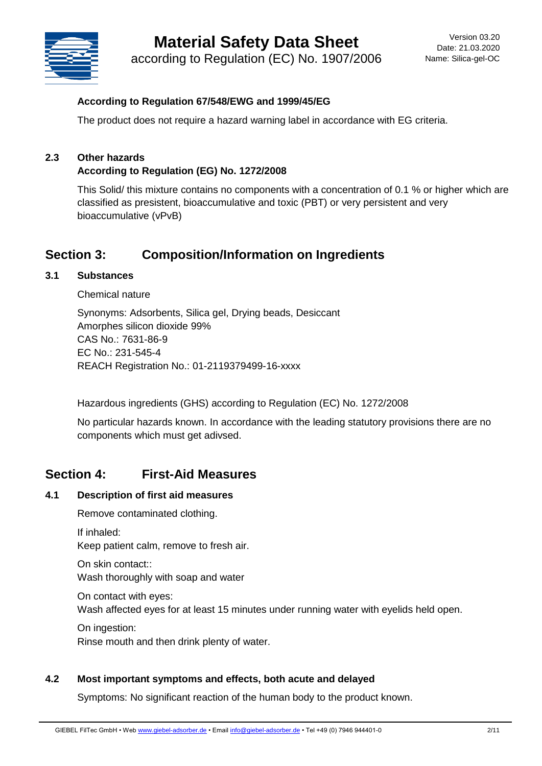# **Material Safety Data Sheet**



according to Regulation (EC) No. 1907/2006

#### **According to Regulation 67/548/EWG and 1999/45/EG**

The product does not require a hazard warning label in accordance with EG criteria.

## **2.3 Other hazards**

#### **According to Regulation (EG) No. 1272/2008**

This Solid/ this mixture contains no components with a concentration of 0.1 % or higher which are classified as presistent, bioaccumulative and toxic (PBT) or very persistent and very bioaccumulative (vPvB)

## **Section 3: Composition/Information on Ingredients**

#### **3.1 Substances**

Chemical nature

Synonyms: Adsorbents, Silica gel, Drying beads, Desiccant Amorphes silicon dioxide 99% CAS No.: 7631-86-9 EC No.: 231-545-4 REACH Registration No.: 01-2119379499-16-xxxx

Hazardous ingredients (GHS) according to Regulation (EC) No. 1272/2008

No particular hazards known. In accordance with the leading statutory provisions there are no components which must get adivsed.

## **Section 4: First-Aid Measures**

#### **4.1 Description of first aid measures**

Remove contaminated clothing.

If inhaled: Keep patient calm, remove to fresh air.

On skin contact:: Wash thoroughly with soap and water

On contact with eyes: Wash affected eyes for at least 15 minutes under running water with eyelids held open.

On ingestion: Rinse mouth and then drink plenty of water.

#### **4.2 Most important symptoms and effects, both acute and delayed**

Symptoms: No significant reaction of the human body to the product known.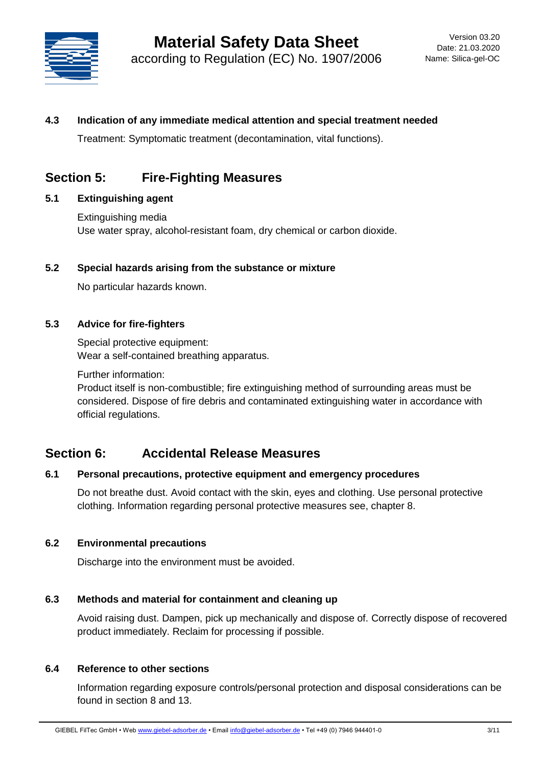

#### **4.3 Indication of any immediate medical attention and special treatment needed**

Treatment: Symptomatic treatment (decontamination, vital functions).

## **Section 5: Fire-Fighting Measures**

#### **5.1 Extinguishing agent**

Extinguishing media Use water spray, alcohol-resistant foam, dry chemical or carbon dioxide.

#### **5.2 Special hazards arising from the substance or mixture**

No particular hazards known.

#### **5.3 Advice for fire-fighters**

Special protective equipment: Wear a self-contained breathing apparatus.

Further information:

Product itself is non-combustible; fire extinguishing method of surrounding areas must be considered. Dispose of fire debris and contaminated extinguishing water in accordance with official regulations.

#### **Section 6: Accidental Release Measures**

#### **6.1 Personal precautions, protective equipment and emergency procedures**

Do not breathe dust. Avoid contact with the skin, eyes and clothing. Use personal protective clothing. Information regarding personal protective measures see, chapter 8.

#### **6.2 Environmental precautions**

Discharge into the environment must be avoided.

#### **6.3 Methods and material for containment and cleaning up**

Avoid raising dust. Dampen, pick up mechanically and dispose of. Correctly dispose of recovered product immediately. Reclaim for processing if possible.

#### **6.4 Reference to other sections**

Information regarding exposure controls/personal protection and disposal considerations can be found in section 8 and 13.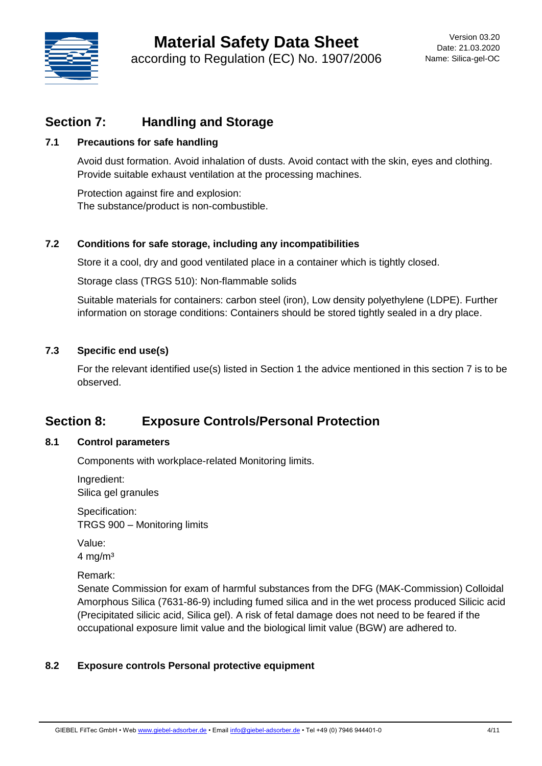

## **Section 7: Handling and Storage**

#### **7.1 Precautions for safe handling**

Avoid dust formation. Avoid inhalation of dusts. Avoid contact with the skin, eyes and clothing. Provide suitable exhaust ventilation at the processing machines.

Protection against fire and explosion: The substance/product is non-combustible.

#### **7.2 Conditions for safe storage, including any incompatibilities**

Store it a cool, dry and good ventilated place in a container which is tightly closed.

Storage class (TRGS 510): Non-flammable solids

Suitable materials for containers: carbon steel (iron), Low density polyethylene (LDPE). Further information on storage conditions: Containers should be stored tightly sealed in a dry place.

#### **7.3 Specific end use(s)**

For the relevant identified use(s) listed in Section 1 the advice mentioned in this section 7 is to be observed.

## **Section 8: Exposure Controls/Personal Protection**

#### **8.1 Control parameters**

Components with workplace-related Monitoring limits.

Ingredient: Silica gel granules

Specification: TRGS 900 – Monitoring limits

Value:  $4 \text{ mg/m}^3$ 

Remark:

Senate Commission for exam of harmful substances from the DFG (MAK-Commission) Colloidal Amorphous Silica (7631-86-9) including fumed silica and in the wet process produced Silicic acid (Precipitated silicic acid, Silica gel). A risk of fetal damage does not need to be feared if the occupational exposure limit value and the biological limit value (BGW) are adhered to.

#### **8.2 Exposure controls Personal protective equipment**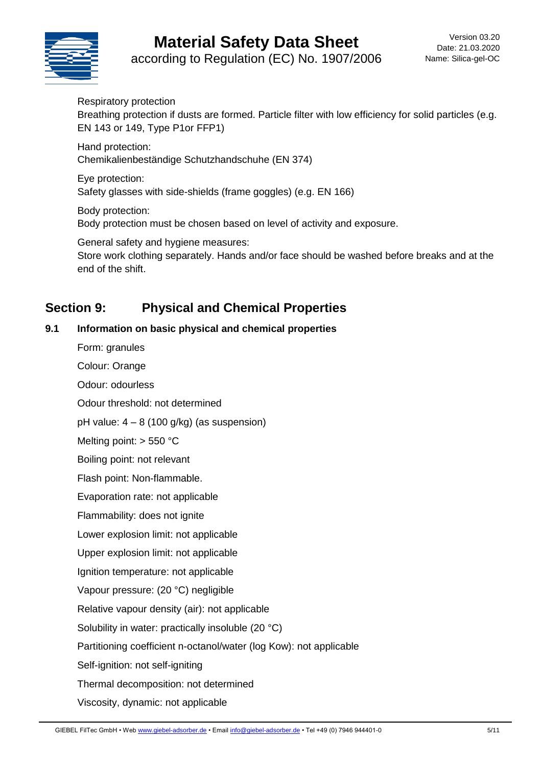# **Material Safety Data Sheet**



according to Regulation (EC) No. 1907/2006

Respiratory protection Breathing protection if dusts are formed. Particle filter with low efficiency for solid particles (e.g. EN 143 or 149, Type P1or FFP1)

Hand protection: Chemikalienbeständige Schutzhandschuhe (EN 374)

Eye protection: Safety glasses with side-shields (frame goggles) (e.g. EN 166)

Body protection: Body protection must be chosen based on level of activity and exposure.

General safety and hygiene measures:

Store work clothing separately. Hands and/or face should be washed before breaks and at the end of the shift.

## **Section 9: Physical and Chemical Properties**

#### **9.1 Information on basic physical and chemical properties**

Form: granules

Colour: Orange

Odour: odourless

Odour threshold: not determined

pH value:  $4 - 8$  (100 g/kg) (as suspension)

Melting point: > 550 °C

Boiling point: not relevant

Flash point: Non-flammable.

Evaporation rate: not applicable

Flammability: does not ignite

Lower explosion limit: not applicable

Upper explosion limit: not applicable

Ignition temperature: not applicable

Vapour pressure: (20 °C) negligible

Relative vapour density (air): not applicable

Solubility in water: practically insoluble (20 °C)

Partitioning coefficient n-octanol/water (log Kow): not applicable

Self-ignition: not self-igniting

Thermal decomposition: not determined

Viscosity, dynamic: not applicable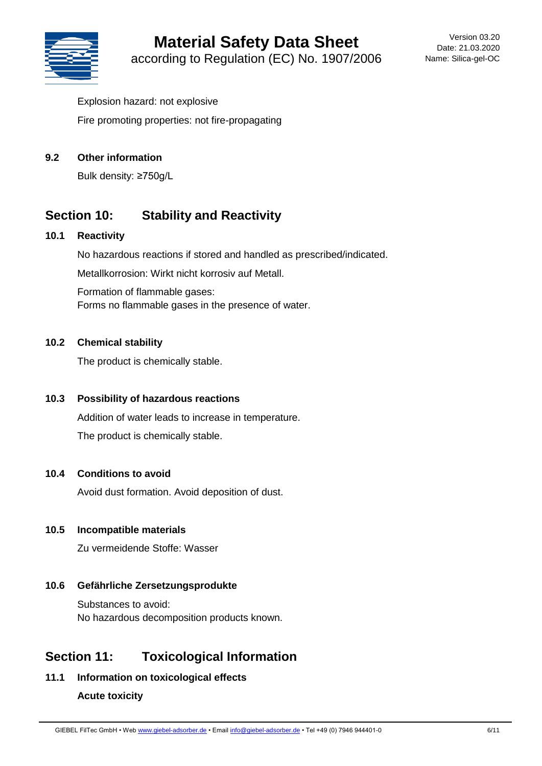

Explosion hazard: not explosive Fire promoting properties: not fire-propagating

#### **9.2 Other information**

Bulk density: ≥750g/L

## **Section 10: Stability and Reactivity**

#### **10.1 Reactivity**

No hazardous reactions if stored and handled as prescribed/indicated. Metallkorrosion: Wirkt nicht korrosiv auf Metall. Formation of flammable gases: Forms no flammable gases in the presence of water.

#### **10.2 Chemical stability**

The product is chemically stable.

#### **10.3 Possibility of hazardous reactions**

Addition of water leads to increase in temperature. The product is chemically stable.

#### **10.4 Conditions to avoid**

Avoid dust formation. Avoid deposition of dust.

#### **10.5 Incompatible materials**

Zu vermeidende Stoffe: Wasser

## **10.6 Gefährliche Zersetzungsprodukte**

Substances to avoid: No hazardous decomposition products known.

## **Section 11: Toxicological Information**

**11.1 Information on toxicological effects**

## **Acute toxicity**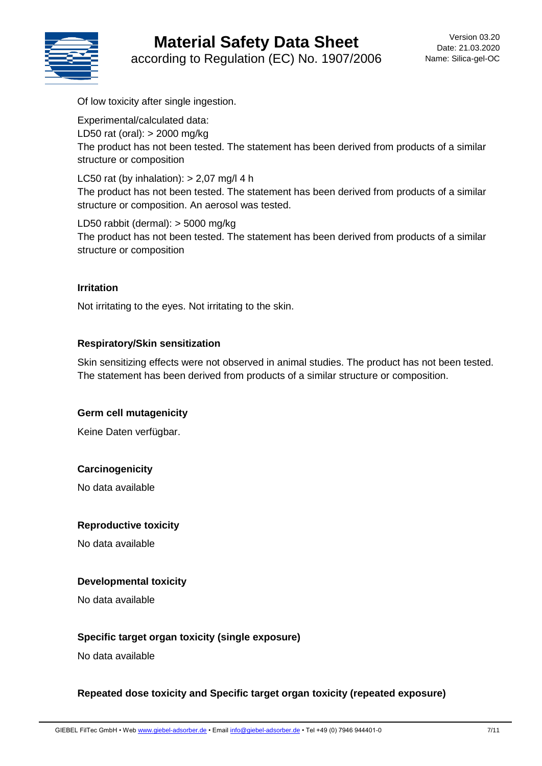# **Material Safety Data Sheet**



according to Regulation (EC) No. 1907/2006

Of low toxicity after single ingestion.

Experimental/calculated data: LD50 rat (oral): > 2000 mg/kg The product has not been tested. The statement has been derived from products of a similar structure or composition

LC50 rat (by inhalation):  $> 2,07$  mg/l 4 h The product has not been tested. The statement has been derived from products of a similar structure or composition. An aerosol was tested.

LD50 rabbit (dermal): > 5000 mg/kg The product has not been tested. The statement has been derived from products of a similar structure or composition

#### **Irritation**

Not irritating to the eyes. Not irritating to the skin.

#### **Respiratory/Skin sensitization**

Skin sensitizing effects were not observed in animal studies. The product has not been tested. The statement has been derived from products of a similar structure or composition.

#### **Germ cell mutagenicity**

Keine Daten verfügbar.

#### **Carcinogenicity**

No data available

#### **Reproductive toxicity**

No data available

#### **Developmental toxicity**

No data available

#### **Specific target organ toxicity (single exposure)**

No data available

#### **Repeated dose toxicity and Specific target organ toxicity (repeated exposure)**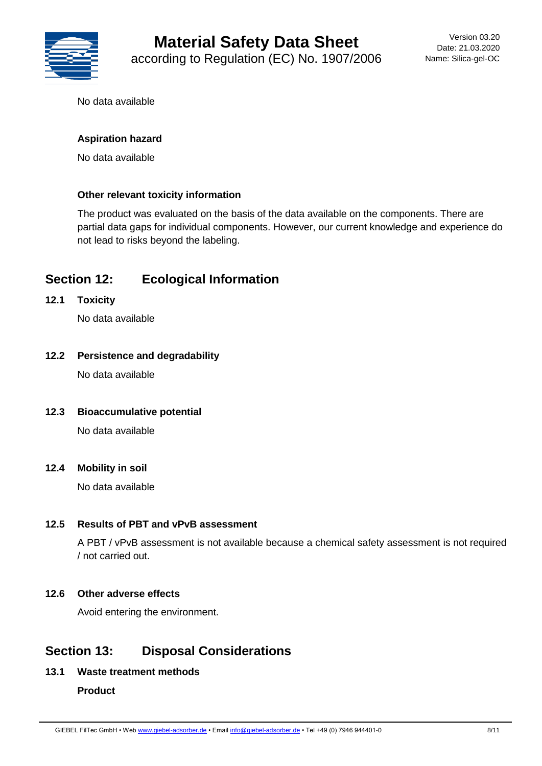

No data available

#### **Aspiration hazard**

No data available

#### **Other relevant toxicity information**

The product was evaluated on the basis of the data available on the components. There are partial data gaps for individual components. However, our current knowledge and experience do not lead to risks beyond the labeling.

## **Section 12: Ecological Information**

**12.1 Toxicity**

No data available

#### **12.2 Persistence and degradability**

No data available

#### **12.3 Bioaccumulative potential**

No data available

#### **12.4 Mobility in soil**

No data available

#### **12.5 Results of PBT and vPvB assessment**

A PBT / vPvB assessment is not available because a chemical safety assessment is not required / not carried out.

#### **12.6 Other adverse effects**

Avoid entering the environment.

## **Section 13: Disposal Considerations**

#### **13.1 Waste treatment methods**

#### **Product**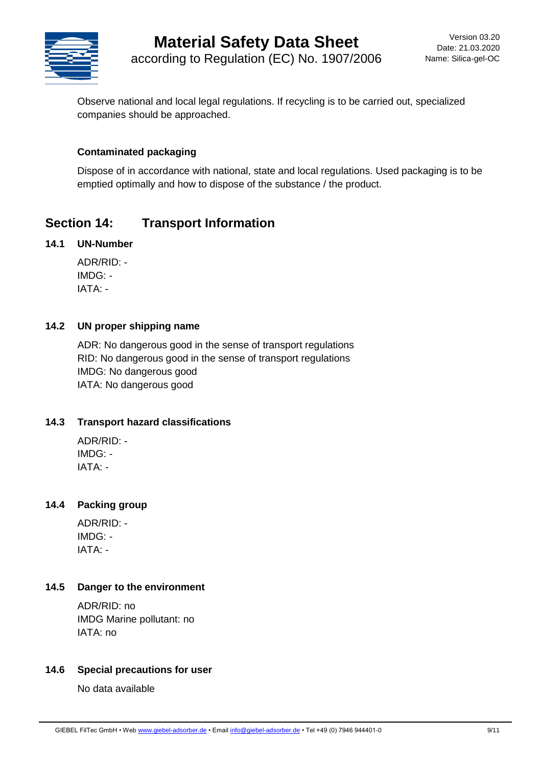

Observe national and local legal regulations. If recycling is to be carried out, specialized companies should be approached.

#### **Contaminated packaging**

Dispose of in accordance with national, state and local regulations. Used packaging is to be emptied optimally and how to dispose of the substance / the product.

## **Section 14: Transport Information**

#### **14.1 UN-Number**

ADR/RID: - IMDG: - IATA: -

#### **14.2 UN proper shipping name**

ADR: No dangerous good in the sense of transport regulations RID: No dangerous good in the sense of transport regulations IMDG: No dangerous good IATA: No dangerous good

#### **14.3 Transport hazard classifications**

ADR/RID: - IMDG: - IATA: -

#### **14.4 Packing group**

ADR/RID: -  $IMDG.$ IATA: -

#### **14.5 Danger to the environment**

ADR/RID: no IMDG Marine pollutant: no IATA: no

#### **14.6 Special precautions for user**

No data available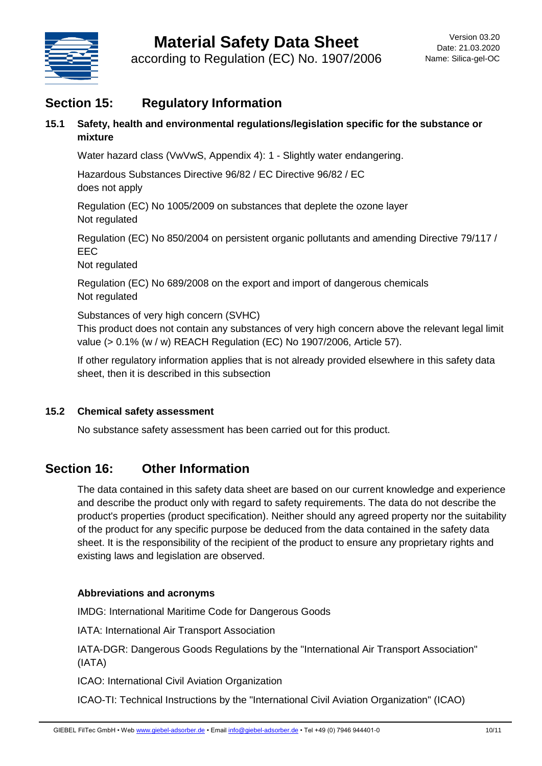

## **Section 15: Regulatory Information**

**15.1 Safety, health and environmental regulations/legislation specific for the substance or mixture**

Water hazard class (VwVwS, Appendix 4): 1 - Slightly water endangering.

Hazardous Substances Directive 96/82 / EC Directive 96/82 / EC does not apply

Regulation (EC) No 1005/2009 on substances that deplete the ozone layer Not regulated

Regulation (EC) No 850/2004 on persistent organic pollutants and amending Directive 79/117 / EEC

Not regulated

Regulation (EC) No 689/2008 on the export and import of dangerous chemicals Not regulated

Substances of very high concern (SVHC)

This product does not contain any substances of very high concern above the relevant legal limit value (> 0.1% (w / w) REACH Regulation (EC) No 1907/2006, Article 57).

If other regulatory information applies that is not already provided elsewhere in this safety data sheet, then it is described in this subsection

#### **15.2 Chemical safety assessment**

No substance safety assessment has been carried out for this product.

## **Section 16: Other Information**

The data contained in this safety data sheet are based on our current knowledge and experience and describe the product only with regard to safety requirements. The data do not describe the product's properties (product specification). Neither should any agreed property nor the suitability of the product for any specific purpose be deduced from the data contained in the safety data sheet. It is the responsibility of the recipient of the product to ensure any proprietary rights and existing laws and legislation are observed.

#### **Abbreviations and acronyms**

IMDG: International Maritime Code for Dangerous Goods

IATA: International Air Transport Association

IATA-DGR: Dangerous Goods Regulations by the "International Air Transport Association" (IATA)

ICAO: International Civil Aviation Organization

ICAO-TI: Technical Instructions by the "International Civil Aviation Organization" (ICAO)